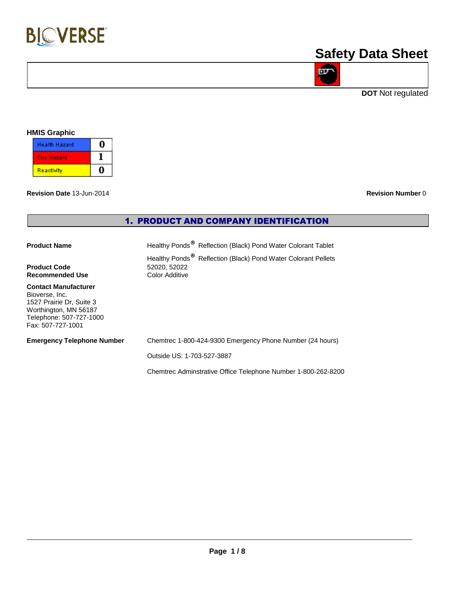

# **Safety Data Sheet**

**DOT** Not regulated

**D** 

### **HMIS Graphic**

| <b>Health Hazard</b> |  |
|----------------------|--|
| <b>Fire Hazard</b>   |  |
| Reactivity           |  |

**Revision Date** 13-Jun-2014 **Revision Number** 0

## 1. PRODUCT AND COMPANY IDENTIFICATION

| <b>Product Name</b>         | Healthy Ponds <sup>®</sup> Reflection (Black) Pond Water Colorant Tablet  |
|-----------------------------|---------------------------------------------------------------------------|
|                             | Healthy Ponds <sup>®</sup> Reflection (Black) Pond Water Colorant Pellets |
| <b>Product Code</b>         | 52020, 52022                                                              |
| <b>Recommended Use</b>      | Color Additive                                                            |
| <b>Contact Manufacturer</b> |                                                                           |

Bioverse, Inc. 1527 Prairie Dr, Suite 3 Worthington, MN 56187 Telephone: 507-727-1000 Fax: 507-727-1001

**Emergency Telephone Number** Chemtrec 1-800-424-9300 Emergency Phone Number (24 hours)

Outside US: 1-703-527-3887

Chemtrec Adminstrative Office Telephone Number 1-800-262-8200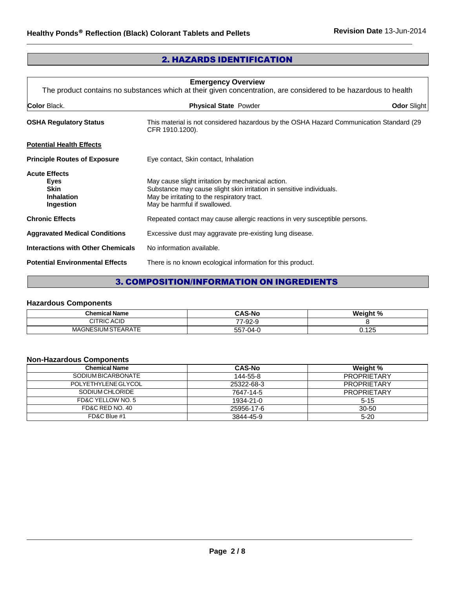## 2. HAZARDS IDENTIFICATION

| <b>Emergency Overview</b><br>The product contains no substances which at their given concentration, are considered to be hazardous to health |                                                                                                                                                                                                          |                    |
|----------------------------------------------------------------------------------------------------------------------------------------------|----------------------------------------------------------------------------------------------------------------------------------------------------------------------------------------------------------|--------------------|
| Color Black.                                                                                                                                 | <b>Physical State Powder</b>                                                                                                                                                                             | <b>Odor Slight</b> |
| <b>OSHA Regulatory Status</b>                                                                                                                | This material is not considered hazardous by the OSHA Hazard Communication Standard (29<br>CFR 1910.1200).                                                                                               |                    |
| <b>Potential Health Effects</b>                                                                                                              |                                                                                                                                                                                                          |                    |
| <b>Principle Routes of Exposure</b>                                                                                                          | Eye contact, Skin contact, Inhalation                                                                                                                                                                    |                    |
| <b>Acute Effects</b><br>Eyes<br><b>Skin</b><br><b>Inhalation</b><br>Ingestion                                                                | May cause slight irritation by mechanical action.<br>Substance may cause slight skin irritation in sensitive individuals.<br>May be irritating to the respiratory tract.<br>May be harmful if swallowed. |                    |
| <b>Chronic Effects</b>                                                                                                                       | Repeated contact may cause allergic reactions in very susceptible persons.                                                                                                                               |                    |
| <b>Aggravated Medical Conditions</b>                                                                                                         | Excessive dust may aggravate pre-existing lung disease.                                                                                                                                                  |                    |
| Interactions with Other Chemicals                                                                                                            | No information available.                                                                                                                                                                                |                    |
| <b>Potential Environmental Effects</b>                                                                                                       | There is no known ecological information for this product.                                                                                                                                               |                    |

## 3. COMPOSITION/INFORMATION ON INGREDIENTS

## **Hazardous Components**

| <b>Chemical Name</b>     | <b>CAS-No</b><br>.                   | Weight % |
|--------------------------|--------------------------------------|----------|
| <b>CITRIC ACID</b>       | ററ<br>--<br>$\sim$<br>$2 - 1$<br>ິບເ |          |
| MAGNE.<br>SIUM STEARATE: | ິດ <i>A</i> - ເ<br>--<br>$\sim$      | 0.125    |

## **Non-Hazardous Components**

| <b>Chemical Name</b> | <b>CAS-No</b> | Weight %           |
|----------------------|---------------|--------------------|
| SODIUM BICARBONATE   | 144-55-8      | <b>PROPRIETARY</b> |
| POLYETHYLENE GLYCOL  | 25322-68-3    | <b>PROPRIETARY</b> |
| SODIUM CHLORIDE      | 7647-14-5     | <b>PROPRIETARY</b> |
| FD&C YELLOW NO. 5    | 1934-21-0     | $5-15$             |
| FD&C RED NO. 40      | 25956-17-6    | 30-50              |
| FD&C Blue #1         | 3844-45-9     | $5 - 20$           |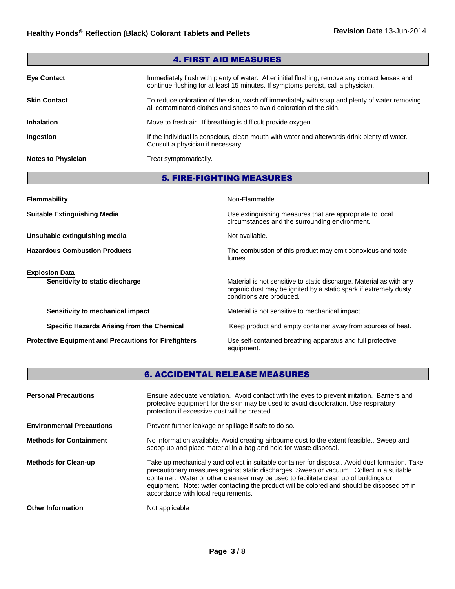| <b>4. FIRST AID MEASURES</b> |                                                                                                                                                                                    |  |
|------------------------------|------------------------------------------------------------------------------------------------------------------------------------------------------------------------------------|--|
| <b>Eye Contact</b>           | Immediately flush with plenty of water. After initial flushing, remove any contact lenses and<br>continue flushing for at least 15 minutes. If symptoms persist, call a physician. |  |
| <b>Skin Contact</b>          | To reduce coloration of the skin, wash off immediately with soap and plenty of water removing<br>all contaminated clothes and shoes to avoid coloration of the skin.               |  |
| <b>Inhalation</b>            | Move to fresh air. If breathing is difficult provide oxygen.                                                                                                                       |  |
| Ingestion                    | If the individual is conscious, clean mouth with water and afterwards drink plenty of water.<br>Consult a physician if necessary.                                                  |  |
| <b>Notes to Physician</b>    | Treat symptomatically.                                                                                                                                                             |  |
|                              | <b>5. FIRE-FIGHTING MEASURES</b>                                                                                                                                                   |  |

| <b>Flammability</b>                                          | Non-Flammable                                                                                                                                                       |
|--------------------------------------------------------------|---------------------------------------------------------------------------------------------------------------------------------------------------------------------|
| <b>Suitable Extinguishing Media</b>                          | Use extinguishing measures that are appropriate to local<br>circumstances and the surrounding environment.                                                          |
| Unsuitable extinguishing media                               | Not available.                                                                                                                                                      |
| <b>Hazardous Combustion Products</b>                         | The combustion of this product may emit obnoxious and toxic<br>fumes.                                                                                               |
| <b>Explosion Data</b><br>Sensitivity to static discharge     | Material is not sensitive to static discharge. Material as with any<br>organic dust may be ignited by a static spark if extremely dusty<br>conditions are produced. |
| Sensitivity to mechanical impact                             | Material is not sensitive to mechanical impact.                                                                                                                     |
| Specific Hazards Arising from the Chemical                   | Keep product and empty container away from sources of heat.                                                                                                         |
| <b>Protective Equipment and Precautions for Firefighters</b> | Use self-contained breathing apparatus and full protective<br>equipment.                                                                                            |

## 6. ACCIDENTAL RELEASE MEASURES

| <b>Personal Precautions</b>      | Ensure adequate ventilation. Avoid contact with the eyes to prevent irritation. Barriers and<br>protective equipment for the skin may be used to avoid discoloration. Use respiratory<br>protection if excessive dust will be created.                                                                                                                                                                                     |
|----------------------------------|----------------------------------------------------------------------------------------------------------------------------------------------------------------------------------------------------------------------------------------------------------------------------------------------------------------------------------------------------------------------------------------------------------------------------|
| <b>Environmental Precautions</b> | Prevent further leakage or spillage if safe to do so.                                                                                                                                                                                                                                                                                                                                                                      |
| <b>Methods for Containment</b>   | No information available. Avoid creating airbourne dust to the extent feasible Sweep and<br>scoop up and place material in a bag and hold for waste disposal.                                                                                                                                                                                                                                                              |
| <b>Methods for Clean-up</b>      | Take up mechanically and collect in suitable container for disposal. Avoid dust formation. Take<br>precautionary measures against static discharges. Sweep or vacuum. Collect in a suitable<br>container. Water or other cleanser may be used to facilitate clean up of buildings or<br>equipment. Note: water contacting the product will be colored and should be disposed off in<br>accordance with local requirements. |
| <b>Other Information</b>         | Not applicable                                                                                                                                                                                                                                                                                                                                                                                                             |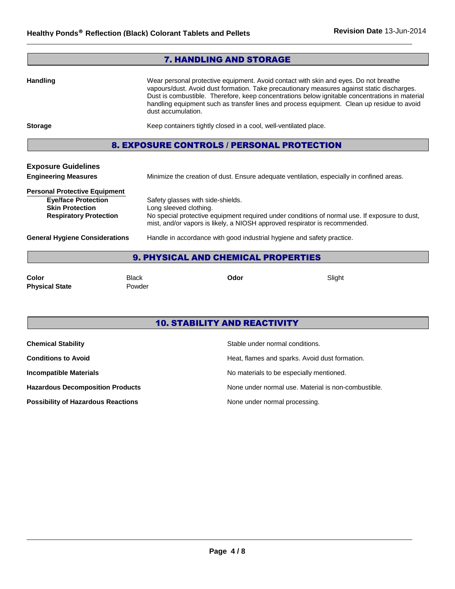|                                                                                                                               | <b>7. HANDLING AND STORAGE</b>                                                                                                                                                                                                                                                                                                                                                                           |  |
|-------------------------------------------------------------------------------------------------------------------------------|----------------------------------------------------------------------------------------------------------------------------------------------------------------------------------------------------------------------------------------------------------------------------------------------------------------------------------------------------------------------------------------------------------|--|
| <b>Handling</b>                                                                                                               | Wear personal protective equipment. Avoid contact with skin and eyes. Do not breathe<br>vapours/dust. Avoid dust formation. Take precautionary measures against static discharges.<br>Dust is combustible. Therefore, keep concentrations below ignitable concentrations in material<br>handling equipment such as transfer lines and process equipment. Clean up residue to avoid<br>dust accumulation. |  |
| <b>Storage</b>                                                                                                                | Keep containers tightly closed in a cool, well-ventilated place.                                                                                                                                                                                                                                                                                                                                         |  |
|                                                                                                                               | <b>8. EXPOSURE CONTROLS / PERSONAL PROTECTION</b>                                                                                                                                                                                                                                                                                                                                                        |  |
| <b>Exposure Guidelines</b><br><b>Engineering Measures</b>                                                                     | Minimize the creation of dust. Ensure adequate ventilation, especially in confined areas.                                                                                                                                                                                                                                                                                                                |  |
| <b>Personal Protective Equipment</b><br><b>Eye/face Protection</b><br><b>Skin Protection</b><br><b>Respiratory Protection</b> | Safety glasses with side-shields.<br>Long sleeved clothing.<br>No special protective equipment required under conditions of normal use. If exposure to dust,<br>mist, and/or vapors is likely, a NIOSH approved respirator is recommended.                                                                                                                                                               |  |
| <b>General Hygiene Considerations</b>                                                                                         | Handle in accordance with good industrial hygiene and safety practice.                                                                                                                                                                                                                                                                                                                                   |  |
| <b>9. PHYSICAL AND CHEMICAL PROPERTIES</b>                                                                                    |                                                                                                                                                                                                                                                                                                                                                                                                          |  |

**Color** Black **Odor** Slight **Physical State** Powder

## 10. STABILITY AND REACTIVITY

| <b>Chemical Stability</b>                 | Stable under normal conditions.                     |
|-------------------------------------------|-----------------------------------------------------|
| <b>Conditions to Avoid</b>                | Heat, flames and sparks. Avoid dust formation.      |
| <b>Incompatible Materials</b>             | No materials to be especially mentioned.            |
| <b>Hazardous Decomposition Products</b>   | None under normal use. Material is non-combustible. |
| <b>Possibility of Hazardous Reactions</b> | None under normal processing.                       |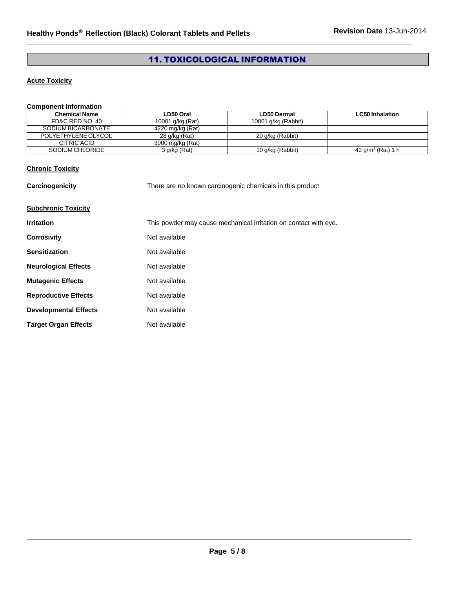## 11. TOXICOLOGICAL INFORMATION

## **Acute Toxicity**

## **Component Information**

| Chemical Name       | LD50 Oral        | <b>LD50 Dermal</b>  | <b>LC50 Inhalation</b> |
|---------------------|------------------|---------------------|------------------------|
| FD&C RED NO. 40     | 10001 g/kg (Rat) | 10001 g/kg (Rabbit) |                        |
| SODIUM BICARBONATE  | 4220 mg/kg (Rat) |                     |                        |
| POLYETHYLENE GLYCOL | 28 g/kg (Rat)    | 20 g/kg (Rabbit)    |                        |
| CITRIC ACID         | 3000 mg/kg (Rat) |                     |                        |
| SODIUM CHLORIDE     | $3$ g/kg (Rat)   | 10 g/kg (Rabbit)    | 42 $q/m^3$ (Rat) 1 h   |

## **Chronic Toxicity**

| Carcinogenicity              | There are no known carcinogenic chemicals in this product        |  |
|------------------------------|------------------------------------------------------------------|--|
| <b>Subchronic Toxicity</b>   |                                                                  |  |
| <b>Irritation</b>            | This powder may cause mechanical irritation on contact with eye. |  |
| <b>Corrosivity</b>           | Not available                                                    |  |
| <b>Sensitization</b>         | Not available                                                    |  |
| <b>Neurological Effects</b>  | Not available                                                    |  |
| <b>Mutagenic Effects</b>     | Not available                                                    |  |
| <b>Reproductive Effects</b>  | Not available                                                    |  |
| <b>Developmental Effects</b> | Not available                                                    |  |
| <b>Target Organ Effects</b>  | Not available                                                    |  |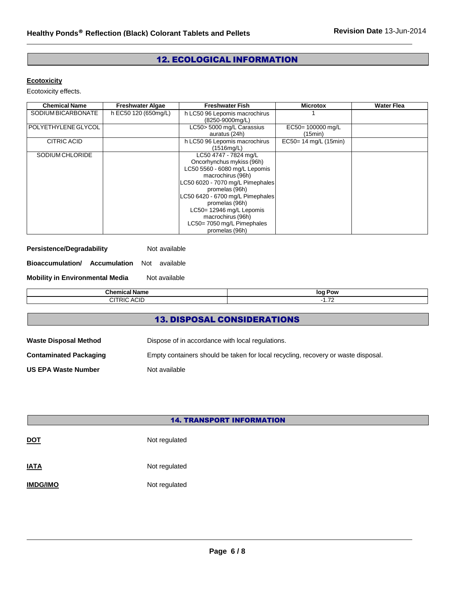## 12. ECOLOGICAL INFORMATION

### **Ecotoxicity**

Ecotoxicity effects.

| <b>Chemical Name</b>  | <b>Freshwater Algae</b> | <b>Freshwater Fish</b>                                                                                                                                                                                                                                                                                               | <b>Microtox</b>             | <b>Water Flea</b> |
|-----------------------|-------------------------|----------------------------------------------------------------------------------------------------------------------------------------------------------------------------------------------------------------------------------------------------------------------------------------------------------------------|-----------------------------|-------------------|
| SODIUM BICARBONATE    | h EC50 120 (650mg/L)    | h LC50 96 Lepomis macrochirus<br>(8250-9000mg/L)                                                                                                                                                                                                                                                                     |                             |                   |
| l POLYETHYLENE GLYCOL |                         | LC50> 5000 mg/L Carassius<br>auratus (24h)                                                                                                                                                                                                                                                                           | EC50=100000 mg/L<br>(15min) |                   |
| <b>CITRIC ACID</b>    |                         | h LC50 96 Lepomis macrochirus<br>(1516mq/L)                                                                                                                                                                                                                                                                          | EC50= 14 mg/L (15min)       |                   |
| SODIUM CHLORIDE       |                         | LC50 4747 - 7824 mg/L<br>Oncorhynchus mykiss (96h)<br>LC50 5560 - 6080 mg/L Lepomis<br>macrochirus (96h)<br>LC50 6020 - 7070 mg/L Pimephales<br>promelas (96h)<br>LC50 6420 - 6700 mg/L Pimephales<br>promelas (96h)<br>LC50= 12946 mg/L Lepomis<br>macrochirus (96h)<br>LC50=7050 mg/L Pimephales<br>promelas (96h) |                             |                   |

| Persistence/Degradability | Not available |
|---------------------------|---------------|
|---------------------------|---------------|

**Bioaccumulation/ Accumulation** Not available

**Mobility in Environmental Media** Not available

| $R_{\rm max}$<br>Chemical<br>iame           | Pow<br>loq<br>. .               |
|---------------------------------------------|---------------------------------|
| <b>ACIL</b><br>CITRIC.<br>$^{\prime\prime}$ | $\overline{\phantom{a}}$<br>.72 |
|                                             |                                 |

## 13. DISPOSAL CONSIDERATIONS

| <b>Waste Disposal Method</b>  | Dispose of in accordance with local regulations.                                  |  |
|-------------------------------|-----------------------------------------------------------------------------------|--|
| <b>Contaminated Packaging</b> | Empty containers should be taken for local recycling, recovery or waste disposal. |  |
| <b>US EPA Waste Number</b>    | Not available                                                                     |  |

| <b>14. TRANSPORT INFORMATION</b> |               |  |  |  |
|----------------------------------|---------------|--|--|--|
| <u>DOT</u>                       | Not regulated |  |  |  |
| <u>IATA</u>                      | Not regulated |  |  |  |
| <b>IMDG/IMO</b>                  | Not regulated |  |  |  |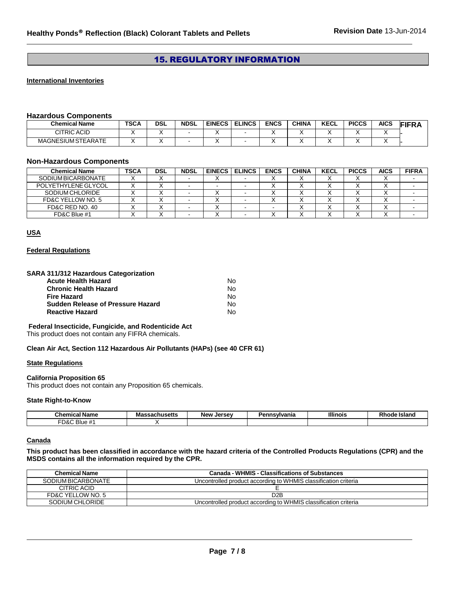## 15. REGULATORY INFORMATION

#### **International Inventories**

#### **Hazardous Components**

| <b>Chemical Name</b>      | <b>TSCA</b> | <b>DSL</b> | <b>NDSL</b> | <b>EINECS</b> | <b>ELINCS</b> | <b>ENCS</b> | <b>CHINA</b> | <b>KECL</b> | <b>PICCS</b> | <b>AICS</b> | -.--<br>RМ |
|---------------------------|-------------|------------|-------------|---------------|---------------|-------------|--------------|-------------|--------------|-------------|------------|
| CITRIC ACID               |             |            |             |               |               |             |              |             |              |             |            |
| <b>MAGNESIUM STEARATE</b> |             |            |             |               |               |             |              |             |              |             |            |

#### **Non-Hazardous Components**

| <b>Chemical Name</b>      | <b>TSCA</b> | DSL | <b>NDSL</b> | <b>EINECS</b> | <b>ELINCS</b> | <b>ENCS</b> | <b>CHINA</b> | <b>KECL</b> | <b>PICCS</b> | <b>AICS</b> | <b>FIFRA</b> |
|---------------------------|-------------|-----|-------------|---------------|---------------|-------------|--------------|-------------|--------------|-------------|--------------|
| <b>SODIUM BICARBONATE</b> |             |     |             |               |               |             |              |             |              |             |              |
| POLYETHYLENE GLYCOL       |             |     |             |               |               |             |              |             |              |             |              |
| SODIUM CHLORIDE           |             |     |             |               |               |             |              |             |              |             |              |
| FD&C YELLOW NO. 5         |             |     |             |               |               |             |              |             |              |             |              |
| FD&C RED NO. 40           |             |     |             |               |               |             |              |             |              |             |              |
| FD&C Blue #1              |             |     |             |               |               |             |              |             |              |             |              |

## **USA**

#### **Federal Regulations**

#### **SARA 311/312 Hazardous Categorization**

| Acute Health Hazard               | N٥ |
|-----------------------------------|----|
| Chronic Health Hazard             | N٥ |
| Fire Hazard                       | N٥ |
| Sudden Release of Pressure Hazard | N٥ |
| Reactive Hazard                   | N٥ |

#### **Federal Insecticide, Fungicide, and Rodenticide Act**

This product does not contain any FIFRA chemicals.

#### **Clean Air Act, Section 112 Hazardous Air Pollutants (HAPs) (see 40 CFR 61)**

#### **State Regulations**

#### **California Proposition 65**

This product does not contain any Proposition 65 chemicals.

#### **State Right-to-Know**

| . .<br>∶hemi<br>- -- -<br>Non<br>ame<br>   | $\cdots$<br>Mas<br>saunuacua | <b>Jersey</b><br>New<br>15c | નામદ | <b>Illinois</b> | . .<br>- 310. |
|--------------------------------------------|------------------------------|-----------------------------|------|-----------------|---------------|
| <b>FD&amp;L</b><br>-<br><b>Blue</b><br>. # |                              |                             |      |                 |               |

#### **Canada**

**This product has been classified in accordance with the hazard criteria of the Controlled Products Regulations (CPR) and the MSDS contains all the information required by the CPR.**

| <b>Chemical Name</b> | <b>Canada - WHMIS - Classifications of Substances</b>           |
|----------------------|-----------------------------------------------------------------|
| SODIUM BICARBONATE   | Uncontrolled product according to WHMIS classification criteria |
| CITRIC ACID          |                                                                 |
| FD&C YELLOW NO. 5    | D <sub>2</sub> B                                                |
| SODIUM CHLORIDE      | Uncontrolled product according to WHMIS classification criteria |